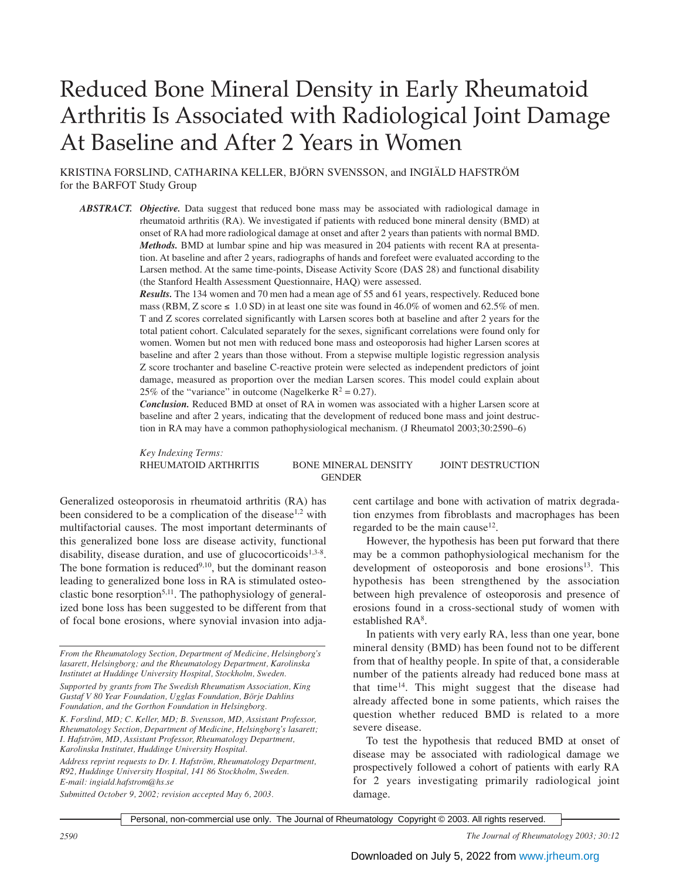# Reduced Bone Mineral Density in Early Rheumatoid Arthritis Is Associated with Radiological Joint Damage At Baseline and After 2 Years in Women

KRISTINA FORSLIND, CATHARINA KELLER, BJÖRN SVENSSON, and INGIÄLD HAFSTRÖM for the BARFOT Study Group

*ABSTRACT. Objective.* Data suggest that reduced bone mass may be associated with radiological damage in rheumatoid arthritis (RA). We investigated if patients with reduced bone mineral density (BMD) at onset of RA had more radiological damage at onset and after 2 years than patients with normal BMD. *Methods.* BMD at lumbar spine and hip was measured in 204 patients with recent RA at presentation. At baseline and after 2 years, radiographs of hands and forefeet were evaluated according to the Larsen method. At the same time-points, Disease Activity Score (DAS 28) and functional disability (the Stanford Health Assessment Questionnaire, HAQ) were assessed.

> *Results.* The 134 women and 70 men had a mean age of 55 and 61 years, respectively. Reduced bone mass (RBM, Z score  $\leq 1.0$  SD) in at least one site was found in 46.0% of women and 62.5% of men. T and Z scores correlated significantly with Larsen scores both at baseline and after 2 years for the total patient cohort. Calculated separately for the sexes, significant correlations were found only for women. Women but not men with reduced bone mass and osteoporosis had higher Larsen scores at baseline and after 2 years than those without. From a stepwise multiple logistic regression analysis Z score trochanter and baseline C-reactive protein were selected as independent predictors of joint damage, measured as proportion over the median Larsen scores. This model could explain about 25% of the "variance" in outcome (Nagelkerke  $R^2 = 0.27$ ).

> *Conclusion.* Reduced BMD at onset of RA in women was associated with a higher Larsen score at baseline and after 2 years, indicating that the development of reduced bone mass and joint destruction in RA may have a common pathophysiological mechanism. (J Rheumatol 2003;30:2590–6)

*Key Indexing Terms:*

RHEUMATOID ARTHRITIS BONE MINERAL DENSITY JOINT DESTRUCTION **GENDER** 

Generalized osteoporosis in rheumatoid arthritis (RA) has been considered to be a complication of the disease<sup>1,2</sup> with multifactorial causes. The most important determinants of this generalized bone loss are disease activity, functional disability, disease duration, and use of glucocorticoids<sup>1,3-8</sup>. The bone formation is reduced $9,10$ , but the dominant reason leading to generalized bone loss in RA is stimulated osteoclastic bone resorption<sup>5,11</sup>. The pathophysiology of generalized bone loss has been suggested to be different from that of focal bone erosions, where synovial invasion into adja-

*Address reprint requests to Dr. I. Hafström, Rheumatology Department, R92, Huddinge University Hospital, 141 86 Stockholm, Sweden. E-mail: ingiald.hafstrom@hs.se*

*Submitted October 9, 2002; revision accepted May 6, 2003.*

cent cartilage and bone with activation of matrix degradation enzymes from fibroblasts and macrophages has been regarded to be the main cause<sup>12</sup>.

However, the hypothesis has been put forward that there may be a common pathophysiological mechanism for the development of osteoporosis and bone erosions $13$ . This hypothesis has been strengthened by the association between high prevalence of osteoporosis and presence of erosions found in a cross-sectional study of women with established RA<sup>8</sup>.

In patients with very early RA, less than one year, bone mineral density (BMD) has been found not to be different from that of healthy people. In spite of that, a considerable number of the patients already had reduced bone mass at that time<sup>14</sup>. This might suggest that the disease had already affected bone in some patients, which raises the question whether reduced BMD is related to a more severe disease.

To test the hypothesis that reduced BMD at onset of disease may be associated with radiological damage we prospectively followed a cohort of patients with early RA for 2 years investigating primarily radiological joint damage.

Personal, non-commercial use only. The Journal of Rheumatology Copyright © 2003. All rights reserved.

*2590 The Journal of Rheumatology 2003; 30:12*

*From the Rheumatology Section, Department of Medicine, Helsingborg's lasarett, Helsingborg; and the Rheumatology Department, Karolinska Institutet at Huddinge University Hospital, Stockholm, Sweden.*

*Supported by grants from The Swedish Rheumatism Association, King Gustaf V 80 Year Foundation, Ugglas Foundation, Börje Dahlins Foundation, and the Gorthon Foundation in Helsingborg.*

*K. Forslind, MD; C. Keller, MD; B. Svensson, MD, Assistant Professor, Rheumatology Section, Department of Medicine, Helsingborg's lasarett; I. Hafström, MD, Assistant Professor, Rheumatology Department, Karolinska Institutet, Huddinge University Hospital.*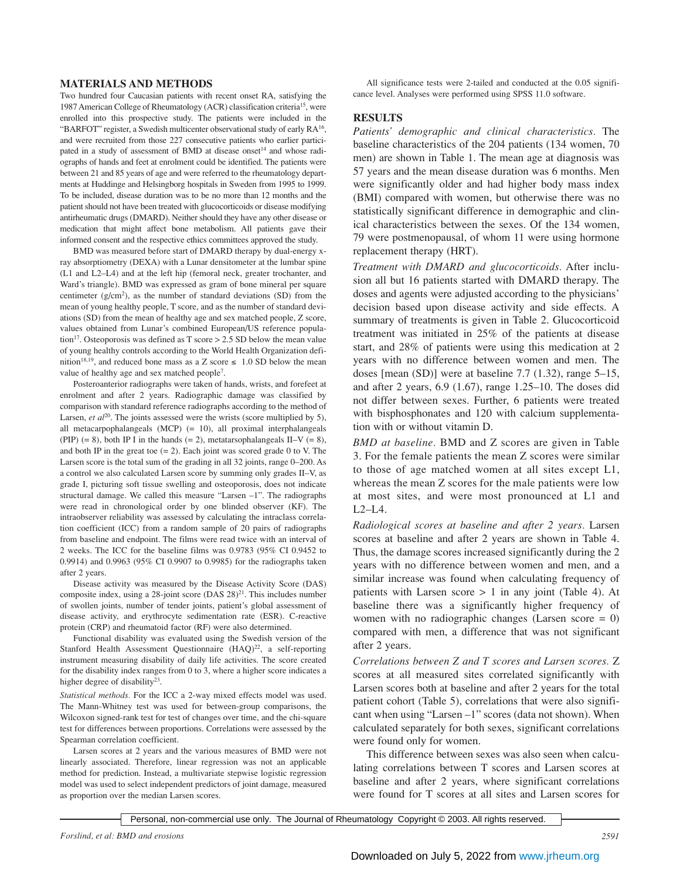#### **MATERIALS AND METHODS**

Two hundred four Caucasian patients with recent onset RA, satisfying the 1987 American College of Rheumatology (ACR) classification criteria15, were enrolled into this prospective study. The patients were included in the "BARFOT" register, a Swedish multicenter observational study of early RA16, and were recruited from those 227 consecutive patients who earlier participated in a study of assessment of BMD at disease onset<sup>14</sup> and whose radiographs of hands and feet at enrolment could be identified. The patients were between 21 and 85 years of age and were referred to the rheumatology departments at Huddinge and Helsingborg hospitals in Sweden from 1995 to 1999. To be included, disease duration was to be no more than 12 months and the patient should not have been treated with glucocorticoids or disease modifying antirheumatic drugs (DMARD). Neither should they have any other disease or medication that might affect bone metabolism. All patients gave their informed consent and the respective ethics committees approved the study.

BMD was measured before start of DMARD therapy by dual-energy xray absorptiometry (DEXA) with a Lunar densitometer at the lumbar spine (L1 and L2–L4) and at the left hip (femoral neck, greater trochanter, and Ward's triangle). BMD was expressed as gram of bone mineral per square centimeter  $(g/cm<sup>2</sup>)$ , as the number of standard deviations (SD) from the mean of young healthy people, T score, and as the number of standard deviations (SD) from the mean of healthy age and sex matched people, Z score, values obtained from Lunar's combined European/US reference population<sup>17</sup>. Osteoporosis was defined as T score  $> 2.5$  SD below the mean value of young healthy controls according to the World Health Organization definition<sup>18,19</sup>, and reduced bone mass as a Z score  $\leq 1.0$  SD below the mean value of healthy age and sex matched people<sup>7</sup>.

Posteroanterior radiographs were taken of hands, wrists, and forefeet at enrolment and after 2 years. Radiographic damage was classified by comparison with standard reference radiographs according to the method of Larsen, *et al*<sup>20</sup>. The joints assessed were the wrists (score multiplied by 5), all metacarpophalangeals (MCP) (= 10), all proximal interphalangeals (PIP)  $(= 8)$ , both IP I in the hands  $(= 2)$ , metatarsophalangeals II–V  $(= 8)$ , and both IP in the great toe  $(= 2)$ . Each joint was scored grade 0 to V. The Larsen score is the total sum of the grading in all 32 joints, range 0–200. As a control we also calculated Larsen score by summing only grades II–V, as grade I, picturing soft tissue swelling and osteoporosis, does not indicate structural damage. We called this measure "Larsen –1". The radiographs were read in chronological order by one blinded observer (KF). The intraobserver reliability was assessed by calculating the intraclass correlation coefficient (ICC) from a random sample of 20 pairs of radiographs from baseline and endpoint. The films were read twice with an interval of 2 weeks. The ICC for the baseline films was 0.9783 (95% CI 0.9452 to 0.9914) and 0.9963 (95% CI 0.9907 to 0.9985) for the radiographs taken after 2 years.

Disease activity was measured by the Disease Activity Score (DAS) composite index, using a  $28$ -joint score (DAS  $28)^{21}$ . This includes number of swollen joints, number of tender joints, patient's global assessment of disease activity, and erythrocyte sedimentation rate (ESR). C-reactive protein (CRP) and rheumatoid factor (RF) were also determined.

Functional disability was evaluated using the Swedish version of the Stanford Health Assessment Questionnaire  $(HAO)^{22}$ , a self-reporting instrument measuring disability of daily life activities. The score created for the disability index ranges from 0 to 3, where a higher score indicates a higher degree of disability<sup>23</sup>.

*Statistical methods.* For the ICC a 2-way mixed effects model was used. The Mann-Whitney test was used for between-group comparisons, the Wilcoxon signed-rank test for test of changes over time, and the chi-square test for differences between proportions. Correlations were assessed by the Spearman correlation coefficient.

Larsen scores at 2 years and the various measures of BMD were not linearly associated. Therefore, linear regression was not an applicable method for prediction. Instead, a multivariate stepwise logistic regression model was used to select independent predictors of joint damage, measured as proportion over the median Larsen scores.

All significance tests were 2-tailed and conducted at the 0.05 significance level. Analyses were performed using SPSS 11.0 software.

### **RESULTS**

*Patients' demographic and clinical characteristics.* The baseline characteristics of the 204 patients (134 women, 70 men) are shown in Table 1. The mean age at diagnosis was 57 years and the mean disease duration was 6 months. Men were significantly older and had higher body mass index (BMI) compared with women, but otherwise there was no statistically significant difference in demographic and clinical characteristics between the sexes. Of the 134 women, 79 were postmenopausal, of whom 11 were using hormone replacement therapy (HRT).

*Treatment with DMARD and glucocorticoids.* After inclusion all but 16 patients started with DMARD therapy. The doses and agents were adjusted according to the physicians' decision based upon disease activity and side effects. A summary of treatments is given in Table 2. Glucocorticoid treatment was initiated in 25% of the patients at disease start, and 28% of patients were using this medication at 2 years with no difference between women and men. The doses [mean (SD)] were at baseline 7.7 (1.32), range 5–15, and after 2 years, 6.9 (1.67), range 1.25–10. The doses did not differ between sexes. Further, 6 patients were treated with bisphosphonates and 120 with calcium supplementation with or without vitamin D.

*BMD at baseline.* BMD and Z scores are given in Table 3. For the female patients the mean Z scores were similar to those of age matched women at all sites except L1, whereas the mean Z scores for the male patients were low at most sites, and were most pronounced at L1 and  $L2-L4$ .

*Radiological scores at baseline and after 2 years.* Larsen scores at baseline and after 2 years are shown in Table 4. Thus, the damage scores increased significantly during the 2 years with no difference between women and men, and a similar increase was found when calculating frequency of patients with Larsen score  $> 1$  in any joint (Table 4). At baseline there was a significantly higher frequency of women with no radiographic changes (Larsen score = 0) compared with men, a difference that was not significant after 2 years.

*Correlations between Z and T scores and Larsen scores.* Z scores at all measured sites correlated significantly with Larsen scores both at baseline and after 2 years for the total patient cohort (Table 5), correlations that were also significant when using "Larsen –1" scores (data not shown). When calculated separately for both sexes, significant correlations were found only for women.

This difference between sexes was also seen when calculating correlations between T scores and Larsen scores at baseline and after 2 years, where significant correlations were found for T scores at all sites and Larsen scores for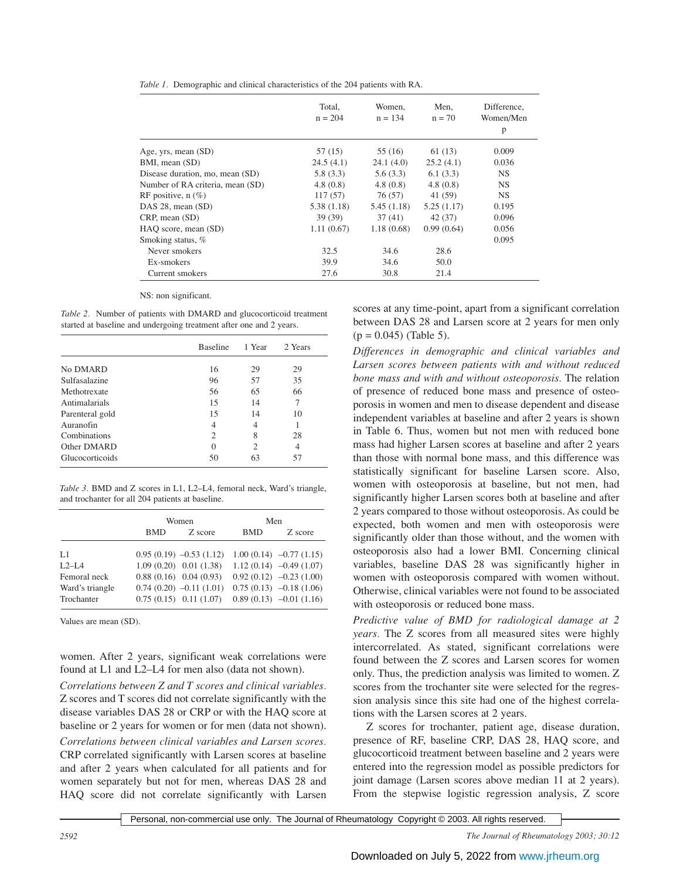| Table 1. Demographic and clinical characteristics of the 204 patients with RA. |  |  |  |
|--------------------------------------------------------------------------------|--|--|--|
|                                                                                |  |  |  |

|                                  | Total,<br>$n = 204$ | Women.<br>$n = 134$ | Men,<br>$n = 70$ | Difference.<br>Women/Men<br>p |
|----------------------------------|---------------------|---------------------|------------------|-------------------------------|
| Age, yrs, mean (SD)              | 57 (15)             | 55 (16)             | 61(13)           | 0.009                         |
| BMI, mean (SD)                   | 24.5(4.1)           | 24.1(4.0)           | 25.2(4.1)        | 0.036                         |
| Disease duration, mo, mean (SD)  | 5.8(3.3)            | 5.6(3.3)            | 6.1(3.3)         | <b>NS</b>                     |
| Number of RA criteria, mean (SD) | 4.8(0.8)            | 4.8(0.8)            | 4.8(0.8)         | <b>NS</b>                     |
| RF positive, $n$ (%)             | 117(57)             | 76 (57)             | 41 (59)          | <b>NS</b>                     |
| DAS 28, mean (SD)                | 5.38(1.18)          | 5.45(1.18)          | 5.25(1.17)       | 0.195                         |
| $CRP$ , mean $(SD)$              | 39(39)              | 37(41)              | 42 (37)          | 0.096                         |
| HAO score, mean (SD)             | 1.11(0.67)          | 1.18(0.68)          | 0.99(0.64)       | 0.056                         |
| Smoking status, %                |                     |                     |                  | 0.095                         |
| Never smokers                    | 32.5                | 34.6                | 28.6             |                               |
| Ex-smokers                       | 39.9                | 34.6                | 50.0             |                               |
| Current smokers                  | 27.6                | 30.8                | 21.4             |                               |

NS: non significant.

*Table 2.* Number of patients with DMARD and glucocorticoid treatment started at baseline and undergoing treatment after one and 2 years.

|                 | <b>Baseline</b>             | 1 Year | 2. Years |
|-----------------|-----------------------------|--------|----------|
| No DMARD        | 16                          | 29     | 29       |
| Sulfasalazine   | 96                          | 57     | 35       |
| Methotrexate    | 56                          | 65     | 66       |
| Antimalarials   | 15                          | 14     | 7        |
| Parenteral gold | 15                          | 14     | 10       |
| Auranofin       | 4                           | 4      |          |
| Combinations    | $\mathcal{D}_{\mathcal{L}}$ | 8      | 28       |
| Other DMARD     | $\Omega$                    | 2      | 4        |
| Glucocorticoids | 50                          | 63     | 57       |

*Table 3.* BMD and Z scores in L1, L2–L4, femoral neck, Ward's triangle, and trochanter for all 204 patients at baseline.

|                 |            | Women                     | Men        |                            |  |
|-----------------|------------|---------------------------|------------|----------------------------|--|
|                 | <b>BMD</b> | Z score                   | <b>BMD</b> | Z score                    |  |
| L1              |            | $0.95(0.19) -0.53(1.12)$  |            | $1.00(0.14)$ $-0.77(1.15)$ |  |
| $L2-IA$         |            | $1.09(0.20)$ $0.01(1.38)$ |            | $1.12(0.14) -0.49(1.07)$   |  |
| Femoral neck    |            | $0.88(0.16)$ $0.04(0.93)$ |            | $0.92(0.12)$ $-0.23(1.00)$ |  |
| Ward's triangle |            | $0.74(0.20) -0.11(1.01)$  |            | $0.75(0.13)$ $-0.18(1.06)$ |  |
| Trochanter      |            | $0.75(0.15)$ $0.11(1.07)$ |            | $0.89(0.13)$ $-0.01(1.16)$ |  |

Values are mean (SD).

women. After 2 years, significant weak correlations were found at L1 and L2–L4 for men also (data not shown).

*Correlations between Z and T scores and clinical variables.* Z scores and T scores did not correlate significantly with the disease variables DAS 28 or CRP or with the HAQ score at baseline or 2 years for women or for men (data not shown). *Correlations between clinical variables and Larsen scores.* CRP correlated significantly with Larsen scores at baseline and after 2 years when calculated for all patients and for women separately but not for men, whereas DAS 28 and HAQ score did not correlate significantly with Larsen

scores at any time-point, apart from a significant correlation between DAS 28 and Larsen score at 2 years for men only  $(p = 0.045)$  (Table 5).

*Differences in demographic and clinical variables and Larsen scores between patients with and without reduced bone mass and with and without osteoporosis.* The relation of presence of reduced bone mass and presence of osteoporosis in women and men to disease dependent and disease independent variables at baseline and after 2 years is shown in Table 6. Thus, women but not men with reduced bone mass had higher Larsen scores at baseline and after 2 years than those with normal bone mass, and this difference was statistically significant for baseline Larsen score. Also, women with osteoporosis at baseline, but not men, had significantly higher Larsen scores both at baseline and after 2 years compared to those without osteoporosis. As could be expected, both women and men with osteoporosis were significantly older than those without, and the women with osteoporosis also had a lower BMI. Concerning clinical variables, baseline DAS 28 was significantly higher in women with osteoporosis compared with women without. Otherwise, clinical variables were not found to be associated with osteoporosis or reduced bone mass.

*Predictive value of BMD for radiological damage at 2 years.* The Z scores from all measured sites were highly intercorrelated. As stated, significant correlations were found between the Z scores and Larsen scores for women only. Thus, the prediction analysis was limited to women. Z scores from the trochanter site were selected for the regression analysis since this site had one of the highest correlations with the Larsen scores at 2 years.

Z scores for trochanter, patient age, disease duration, presence of RF, baseline CRP, DAS 28, HAQ score, and glucocorticoid treatment between baseline and 2 years were entered into the regression model as possible predictors for joint damage (Larsen scores above median 11 at 2 years). From the stepwise logistic regression analysis, Z score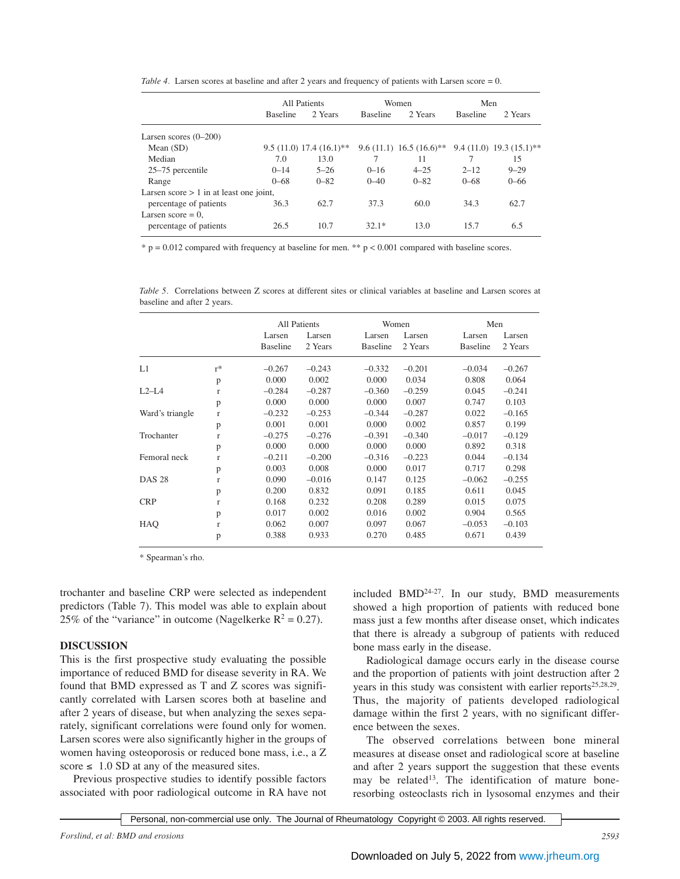*Table 4.* Larsen scores at baseline and after 2 years and frequency of patients with Larsen score = 0.

|                                           | <b>All Patients</b> |                           | Women           |                           | Men             |                              |
|-------------------------------------------|---------------------|---------------------------|-----------------|---------------------------|-----------------|------------------------------|
|                                           | <b>Baseline</b>     | 2 Years                   | <b>Baseline</b> | 2 Years                   | <b>Baseline</b> | 2 Years                      |
| Larsen scores $(0-200)$                   |                     |                           |                 |                           |                 |                              |
| Mean $(SD)$                               |                     | $9.5(11.0) 17.4(16.1)$ ** |                 | $9.6(11.1) 16.5(16.6)$ ** |                 | $9.4(11.0)$ 19.3 $(15.1)$ ** |
| Median                                    | 7.0                 | 13.0                      |                 | 11                        |                 | 15                           |
| 25–75 percentile                          | $0 - 14$            | $5 - 26$                  | $0 - 16$        | $4 - 25$                  | $2 - 12$        | $9 - 29$                     |
| Range                                     | $0 - 68$            | $0 - 82$                  | $0 - 40$        | $0 - 82$                  | $0 - 68$        | $0 - 66$                     |
| Larsen score $> 1$ in at least one joint, |                     |                           |                 |                           |                 |                              |
| percentage of patients                    | 36.3                | 62.7                      | 37.3            | 60.0                      | 34.3            | 62.7                         |
| Larsen score $= 0$ ,                      |                     |                           |                 |                           |                 |                              |
| percentage of patients                    | 26.5                | 10.7                      | $32.1*$         | 13.0                      | 15.7            | 6.5                          |

 $*$  p = 0.012 compared with frequency at baseline for men.  $**$  p < 0.001 compared with baseline scores.

*Table 5.* Correlations between Z scores at different sites or clinical variables at baseline and Larsen scores at baseline and after 2 years.

|                 |              |                 | <b>All Patients</b><br>Women |                 | Men      |                 |          |
|-----------------|--------------|-----------------|------------------------------|-----------------|----------|-----------------|----------|
|                 |              | Larsen          | Larsen<br>Larsen<br>Larsen   |                 |          | Larsen          | Larsen   |
|                 |              | <b>Baseline</b> | 2 Years                      | <b>Baseline</b> | 2 Years  | <b>Baseline</b> | 2 Years  |
| L1              | $r^*$        | $-0.267$        | $-0.243$                     | $-0.332$        | $-0.201$ | $-0.034$        | $-0.267$ |
|                 | p            | 0.000           | 0.002                        | 0.000           | 0.034    | 0.808           | 0.064    |
| $L2-L4$         | $\mathbf{r}$ | $-0.284$        | $-0.287$                     | $-0.360$        | $-0.259$ | 0.045           | $-0.241$ |
|                 | p            | 0.000           | 0.000                        | 0.000           | 0.007    | 0.747           | 0.103    |
| Ward's triangle | $\mathbf{r}$ | $-0.232$        | $-0.253$                     | $-0.344$        | $-0.287$ | 0.022           | $-0.165$ |
|                 | p            | 0.001           | 0.001                        | 0.000           | 0.002    | 0.857           | 0.199    |
| Trochanter      | $\mathbf{r}$ | $-0.275$        | $-0.276$                     | $-0.391$        | $-0.340$ | $-0.017$        | $-0.129$ |
|                 | p            | 0.000           | 0.000                        | 0.000           | 0.000    | 0.892           | 0.318    |
| Femoral neck    | $\mathbf{r}$ | $-0.211$        | $-0.200$                     | $-0.316$        | $-0.223$ | 0.044           | $-0.134$ |
|                 | p            | 0.003           | 0.008                        | 0.000           | 0.017    | 0.717           | 0.298    |
| <b>DAS 28</b>   | $\mathbf{r}$ | 0.090           | $-0.016$                     | 0.147           | 0.125    | $-0.062$        | $-0.255$ |
|                 | p            | 0.200           | 0.832                        | 0.091           | 0.185    | 0.611           | 0.045    |
| <b>CRP</b>      | $\mathbf{r}$ | 0.168           | 0.232                        | 0.208           | 0.289    | 0.015           | 0.075    |
|                 | p            | 0.017           | 0.002                        | 0.016           | 0.002    | 0.904           | 0.565    |
| HAO             | $\mathbf{r}$ | 0.062           | 0.007                        | 0.097           | 0.067    | $-0.053$        | $-0.103$ |
|                 | p            | 0.388           | 0.933                        | 0.270           | 0.485    | 0.671           | 0.439    |

\* Spearman's rho.

trochanter and baseline CRP were selected as independent predictors (Table 7). This model was able to explain about 25% of the "variance" in outcome (Nagelkerke  $R^2 = 0.27$ ).

#### **DISCUSSION**

This is the first prospective study evaluating the possible importance of reduced BMD for disease severity in RA. We found that BMD expressed as T and Z scores was significantly correlated with Larsen scores both at baseline and after 2 years of disease, but when analyzing the sexes separately, significant correlations were found only for women. Larsen scores were also significantly higher in the groups of women having osteoporosis or reduced bone mass, i.e., a Z score  $\leq 1.0$  SD at any of the measured sites.

Previous prospective studies to identify possible factors associated with poor radiological outcome in RA have not included BMD24-27. In our study, BMD measurements showed a high proportion of patients with reduced bone mass just a few months after disease onset, which indicates that there is already a subgroup of patients with reduced bone mass early in the disease.

Radiological damage occurs early in the disease course and the proportion of patients with joint destruction after 2 years in this study was consistent with earlier reports<sup>25,28,29</sup>. Thus, the majority of patients developed radiological damage within the first 2 years, with no significant difference between the sexes.

The observed correlations between bone mineral measures at disease onset and radiological score at baseline and after 2 years support the suggestion that these events may be related<sup>13</sup>. The identification of mature boneresorbing osteoclasts rich in lysosomal enzymes and their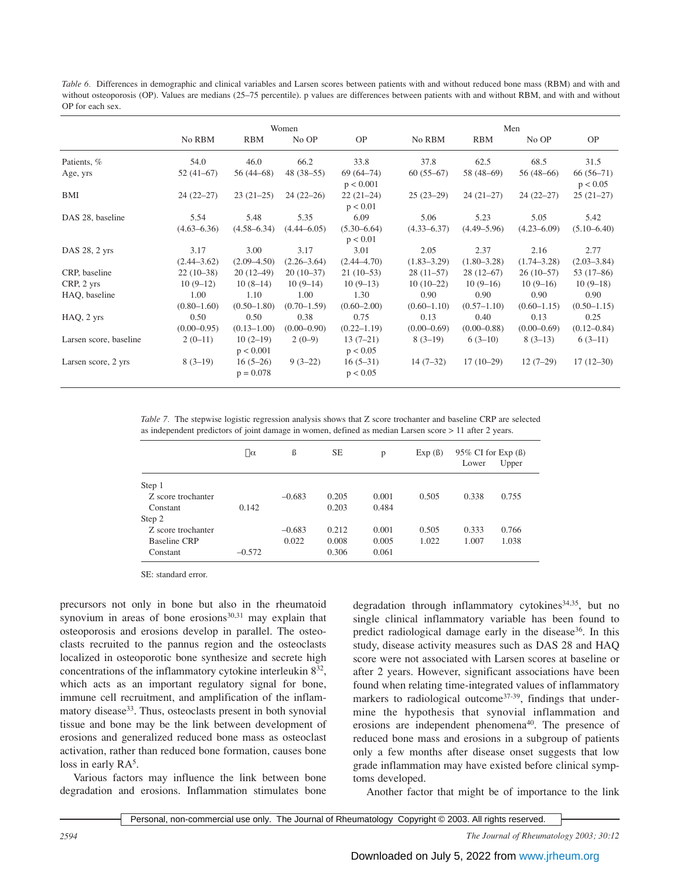*Table 6.* Differences in demographic and clinical variables and Larsen scores between patients with and without reduced bone mass (RBM) and with and without osteoporosis (OP). Values are medians (25–75 percentile). p values are differences between patients with and without RBM, and with and without OP for each sex.

|                        | Women                   |                           |                         |                            |                         | Men                     |                         |                         |  |
|------------------------|-------------------------|---------------------------|-------------------------|----------------------------|-------------------------|-------------------------|-------------------------|-------------------------|--|
|                        | No RBM                  | <b>RBM</b>                | No OP                   | <b>OP</b>                  | No RBM                  | <b>RBM</b>              | No OP                   | <b>OP</b>               |  |
| Patients, %            | 54.0                    | 46.0                      | 66.2                    | 33.8                       | 37.8                    | 62.5                    | 68.5                    | 31.5                    |  |
| Age, yrs               | $52(41-67)$             | $56(44-68)$               | $48(38-55)$             | $69(64 - 74)$<br>p < 0.001 | $60(55-67)$             | 58 (48-69)              | $56(48-66)$             | $66(56-71)$<br>p < 0.05 |  |
| BMI                    | $24(22-27)$             | $23(21-25)$               | $24(22-26)$             | $22(21-24)$<br>p < 0.01    | $25(23-29)$             | $24(21-27)$             | $24(22-27)$             | $25(21-27)$             |  |
| DAS 28, baseline       | 5.54<br>$(4.63 - 6.36)$ | 5.48<br>$(4.58 - 6.34)$   | 5.35<br>$(4.44 - 6.05)$ | 6.09<br>$(5.30 - 6.64)$    | 5.06<br>$(4.33 - 6.37)$ | 5.23<br>$(4.49 - 5.96)$ | 5.05<br>$(4.23 - 6.09)$ | 5.42<br>$(5.10 - 6.40)$ |  |
| DAS 28, 2 yrs          | 3.17                    | 3.00                      | 3.17                    | p < 0.01<br>3.01           | 2.05                    | 2.37                    | 2.16                    | 2.77                    |  |
|                        | $(2.44 - 3.62)$         | $(2.09 - 4.50)$           | $(2.26 - 3.64)$         | $(2.44 - 4.70)$            | $(1.83 - 3.29)$         | $(1.80 - 3.28)$         | $(1.74 - 3.28)$         | $(2.03 - 3.84)$         |  |
| CRP, baseline          | $22(10-38)$             | $20(12-49)$               | $20(10-37)$             | $21(10-53)$                | $28(11-57)$             | $28(12-67)$             | $26(10-57)$             | $53(17-86)$             |  |
| CRP, 2 yrs             | $10(9-12)$              | $10(8-14)$                | $10(9-14)$              | $10(9-13)$                 | $10(10-22)$             | $10(9-16)$              | $10(9-16)$              | $10(9-18)$              |  |
| HAQ, baseline          | 1.00                    | 1.10                      | 1.00                    | 1.30                       | 0.90                    | 0.90                    | 0.90                    | 0.90                    |  |
|                        | $(0.80 - 1.60)$         | $(0.50 - 1.80)$           | $(0.70 - 1.59)$         | $(0.60 - 2.00)$            | $(0.60 - 1.10)$         | $(0.57 - 1.10)$         | $(0.60 - 1.15)$         | $(0.50 - 1.15)$         |  |
| $HAQ$ , $2$ yrs        | 0.50                    | 0.50                      | 0.38                    | 0.75                       | 0.13                    | 0.40                    | 0.13                    | 0.25                    |  |
|                        | $(0.00 - 0.95)$         | $(0.13 - 1.00)$           | $(0.00-0.90)$           | $(0.22 - 1.19)$            | $(0.00-0.69)$           | $(0.00 - 0.88)$         | $(0.00 - 0.69)$         | $(0.12 - 0.84)$         |  |
| Larsen score, baseline | $2(0-11)$               | $10(2-19)$<br>p < 0.001   | $2(0-9)$                | $13(7-21)$<br>p < 0.05     | $8(3-19)$               | $6(3-10)$               | $8(3-13)$               | $6(3-11)$               |  |
| Larsen score, 2 yrs    | $8(3-19)$               | $16(5-26)$<br>$p = 0.078$ | $9(3-22)$               | $16(5-31)$<br>p < 0.05     | $14(7-32)$              | $17(10-29)$             | $12(7-29)$              | $17(12-30)$             |  |

*Table 7.* The stepwise logistic regression analysis shows that Z score trochanter and baseline CRP are selected as independent predictors of joint damage in women, defined as median Larsen score > 11 after 2 years.

|                    | $\Box$ $\alpha$ | ß        | <b>SE</b> | p     | Exp(β) | 95% CI for Exp $(\beta)$<br>Lower | Upper |
|--------------------|-----------------|----------|-----------|-------|--------|-----------------------------------|-------|
| Step 1             |                 |          |           |       |        |                                   |       |
| Z score trochanter |                 | $-0.683$ | 0.205     | 0.001 | 0.505  | 0.338                             | 0.755 |
| Constant           | 0.142           |          | 0.203     | 0.484 |        |                                   |       |
| Step 2             |                 |          |           |       |        |                                   |       |
| Z score trochanter |                 | $-0.683$ | 0.212     | 0.001 | 0.505  | 0.333                             | 0.766 |
| Baseline CRP       |                 | 0.022    | 0.008     | 0.005 | 1.022  | 1.007                             | 1.038 |
| Constant           | $-0.572$        |          | 0.306     | 0.061 |        |                                   |       |

SE: standard error.

precursors not only in bone but also in the rheumatoid synovium in areas of bone erosions $30,31$  may explain that osteoporosis and erosions develop in parallel. The osteoclasts recruited to the pannus region and the osteoclasts localized in osteoporotic bone synthesize and secrete high concentrations of the inflammatory cytokine interleukin 832, which acts as an important regulatory signal for bone, immune cell recruitment, and amplification of the inflammatory disease<sup>33</sup>. Thus, osteoclasts present in both synovial tissue and bone may be the link between development of erosions and generalized reduced bone mass as osteoclast activation, rather than reduced bone formation, causes bone loss in early RA<sup>5</sup>.

Various factors may influence the link between bone degradation and erosions. Inflammation stimulates bone

degradation through inflammatory cytokines<sup>34,35</sup>, but no single clinical inflammatory variable has been found to predict radiological damage early in the disease<sup>36</sup>. In this study, disease activity measures such as DAS 28 and HAQ score were not associated with Larsen scores at baseline or after 2 years. However, significant associations have been found when relating time-integrated values of inflammatory markers to radiological outcome<sup>37-39</sup>, findings that undermine the hypothesis that synovial inflammation and erosions are independent phenomena<sup>40</sup>. The presence of reduced bone mass and erosions in a subgroup of patients only a few months after disease onset suggests that low grade inflammation may have existed before clinical symptoms developed.

Another factor that might be of importance to the link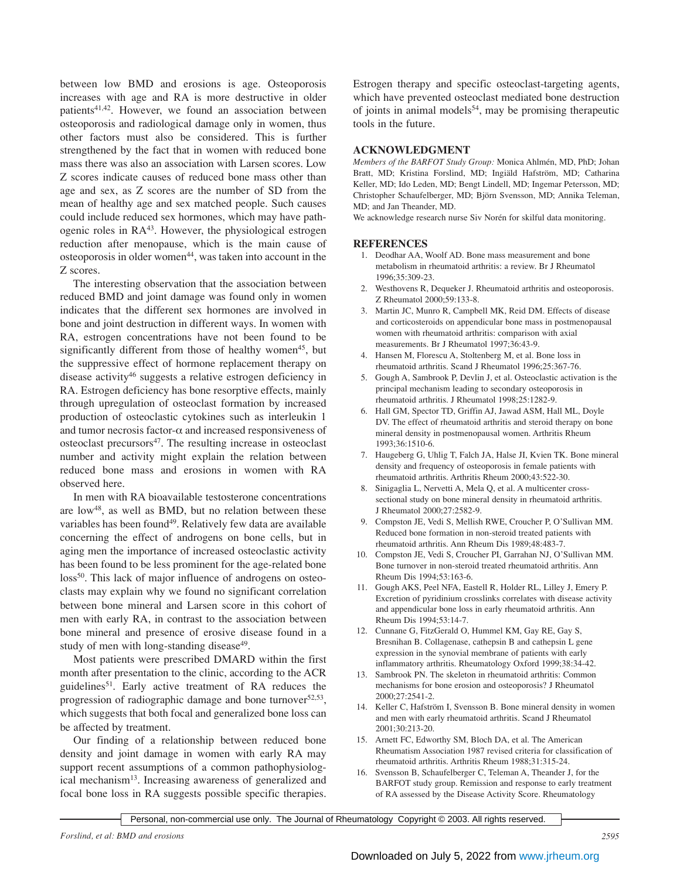between low BMD and erosions is age. Osteoporosis increases with age and RA is more destructive in older patients<sup>41,42</sup>. However, we found an association between osteoporosis and radiological damage only in women, thus other factors must also be considered. This is further strengthened by the fact that in women with reduced bone mass there was also an association with Larsen scores. Low Z scores indicate causes of reduced bone mass other than age and sex, as Z scores are the number of SD from the mean of healthy age and sex matched people. Such causes could include reduced sex hormones, which may have pathogenic roles in RA<sup>43</sup>. However, the physiological estrogen reduction after menopause, which is the main cause of osteoporosis in older women<sup>44</sup>, was taken into account in the Z scores.

The interesting observation that the association between reduced BMD and joint damage was found only in women indicates that the different sex hormones are involved in bone and joint destruction in different ways. In women with RA, estrogen concentrations have not been found to be significantly different from those of healthy women<sup>45</sup>, but the suppressive effect of hormone replacement therapy on disease activity46 suggests a relative estrogen deficiency in RA. Estrogen deficiency has bone resorptive effects, mainly through upregulation of osteoclast formation by increased production of osteoclastic cytokines such as interleukin 1 and tumor necrosis factor- $\alpha$  and increased responsiveness of osteoclast precursors<sup>47</sup>. The resulting increase in osteoclast number and activity might explain the relation between reduced bone mass and erosions in women with RA observed here.

In men with RA bioavailable testosterone concentrations are low $48$ , as well as BMD, but no relation between these variables has been found<sup>49</sup>. Relatively few data are available concerning the effect of androgens on bone cells, but in aging men the importance of increased osteoclastic activity has been found to be less prominent for the age-related bone loss<sup>50</sup>. This lack of major influence of androgens on osteoclasts may explain why we found no significant correlation between bone mineral and Larsen score in this cohort of men with early RA, in contrast to the association between bone mineral and presence of erosive disease found in a study of men with long-standing disease<sup>49</sup>.

Most patients were prescribed DMARD within the first month after presentation to the clinic, according to the ACR guidelines<sup>51</sup>. Early active treatment of RA reduces the progression of radiographic damage and bone turnover $52,53$ , which suggests that both focal and generalized bone loss can be affected by treatment.

Our finding of a relationship between reduced bone density and joint damage in women with early RA may support recent assumptions of a common pathophysiological mechanism<sup>13</sup>. Increasing awareness of generalized and focal bone loss in RA suggests possible specific therapies.

Estrogen therapy and specific osteoclast-targeting agents, which have prevented osteoclast mediated bone destruction of joints in animal models<sup>54</sup>, may be promising therapeutic tools in the future.

## **ACKNOWLEDGMENT**

*Members of the BARFOT Study Group:* Monica Ahlmén, MD, PhD; Johan Bratt, MD; Kristina Forslind, MD; Ingiäld Hafström, MD; Catharina Keller, MD; Ido Leden, MD; Bengt Lindell, MD; Ingemar Petersson, MD; Christopher Schaufelberger, MD; Björn Svensson, MD; Annika Teleman, MD; and Jan Theander, MD.

We acknowledge research nurse Siv Norén for skilful data monitoring.

## **REFERENCES**

- 1. Deodhar AA, Woolf AD. Bone mass measurement and bone metabolism in rheumatoid arthritis: a review. Br J Rheumatol 1996;35:309-23.
- 2. Westhovens R, Dequeker J. Rheumatoid arthritis and osteoporosis. Z Rheumatol 2000;59:133-8.
- 3. Martin JC, Munro R, Campbell MK, Reid DM. Effects of disease and corticosteroids on appendicular bone mass in postmenopausal women with rheumatoid arthritis: comparison with axial measurements. Br J Rheumatol 1997;36:43-9.
- 4. Hansen M, Florescu A, Stoltenberg M, et al. Bone loss in rheumatoid arthritis. Scand J Rheumatol 1996;25:367-76.
- 5. Gough A, Sambrook P, Devlin J, et al. Osteoclastic activation is the principal mechanism leading to secondary osteoporosis in rheumatoid arthritis. J Rheumatol 1998;25:1282-9.
- 6. Hall GM, Spector TD, Griffin AJ, Jawad ASM, Hall ML, Doyle DV. The effect of rheumatoid arthritis and steroid therapy on bone mineral density in postmenopausal women. Arthritis Rheum 1993;36:1510-6.
- 7. Haugeberg G, Uhlig T, Falch JA, Halse JI, Kvien TK. Bone mineral density and frequency of osteoporosis in female patients with rheumatoid arthritis. Arthritis Rheum 2000;43:522-30.
- 8. Sinigaglia L, Nervetti A, Mela Q, et al. A multicenter crosssectional study on bone mineral density in rheumatoid arthritis. J Rheumatol 2000;27:2582-9.
- 9. Compston JE, Vedi S, Mellish RWE, Croucher P, O'Sullivan MM. Reduced bone formation in non-steroid treated patients with rheumatoid arthritis. Ann Rheum Dis 1989;48:483-7.
- 10. Compston JE, Vedi S, Croucher PI, Garrahan NJ, O'Sullivan MM. Bone turnover in non-steroid treated rheumatoid arthritis. Ann Rheum Dis 1994;53:163-6.
- 11. Gough AKS, Peel NFA, Eastell R, Holder RL, Lilley J, Emery P. Excretion of pyridinium crosslinks correlates with disease activity and appendicular bone loss in early rheumatoid arthritis. Ann Rheum Dis 1994;53:14-7.
- 12. Cunnane G, FitzGerald O, Hummel KM, Gay RE, Gay S, Bresnihan B. Collagenase, cathepsin B and cathepsin L gene expression in the synovial membrane of patients with early inflammatory arthritis. Rheumatology Oxford 1999;38:34-42.
- 13. Sambrook PN. The skeleton in rheumatoid arthritis: Common mechanisms for bone erosion and osteoporosis? J Rheumatol 2000;27:2541-2.
- 14. Keller C, Hafström I, Svensson B. Bone mineral density in women and men with early rheumatoid arthritis. Scand J Rheumatol 2001;30:213-20.
- 15. Arnett FC, Edworthy SM, Bloch DA, et al. The American Rheumatism Association 1987 revised criteria for classification of rheumatoid arthritis. Arthritis Rheum 1988;31:315-24.
- 16. Svensson B, Schaufelberger C, Teleman A, Theander J, for the BARFOT study group. Remission and response to early treatment of RA assessed by the Disease Activity Score. Rheumatology